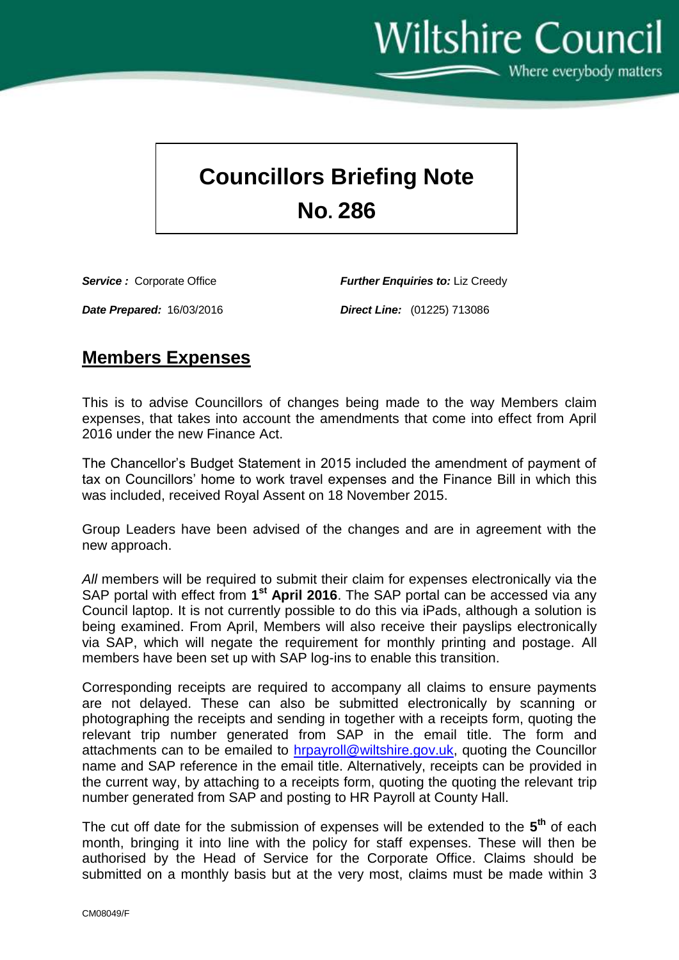Wiltshire Council  $\sim$  Where everybody matters

## **Councillors Briefing Note No. 286**

*Service :* Corporate Office *Further Enquiries to:* Liz Creedy

*Date Prepared:* 16/03/2016 *Direct Line:* (01225) 713086

## **Members Expenses**

This is to advise Councillors of changes being made to the way Members claim expenses, that takes into account the amendments that come into effect from April 2016 under the new Finance Act.

The Chancellor's Budget Statement in 2015 included the amendment of payment of tax on Councillors' home to work travel expenses and the Finance Bill in which this was included, received Royal Assent on 18 November 2015.

Group Leaders have been advised of the changes and are in agreement with the new approach.

*All* members will be required to submit their claim for expenses electronically via the SAP portal with effect from 1<sup>st</sup> April 2016. The SAP portal can be accessed via any Council laptop. It is not currently possible to do this via iPads, although a solution is being examined. From April, Members will also receive their payslips electronically via SAP, which will negate the requirement for monthly printing and postage. All members have been set up with SAP log-ins to enable this transition.

Corresponding receipts are required to accompany all claims to ensure payments are not delayed. These can also be submitted electronically by scanning or photographing the receipts and sending in together with a receipts form, quoting the relevant trip number generated from SAP in the email title. The form and attachments can to be emailed to [hrpayroll@wiltshire.gov.uk,](mailto:hrpayroll@wiltshire.gov.uk) quoting the Councillor name and SAP reference in the email title. Alternatively, receipts can be provided in the current way, by attaching to a receipts form, quoting the quoting the relevant trip number generated from SAP and posting to HR Payroll at County Hall.

The cut off date for the submission of expenses will be extended to the **5 th** of each month, bringing it into line with the policy for staff expenses. These will then be authorised by the Head of Service for the Corporate Office. Claims should be submitted on a monthly basis but at the very most, claims must be made within 3